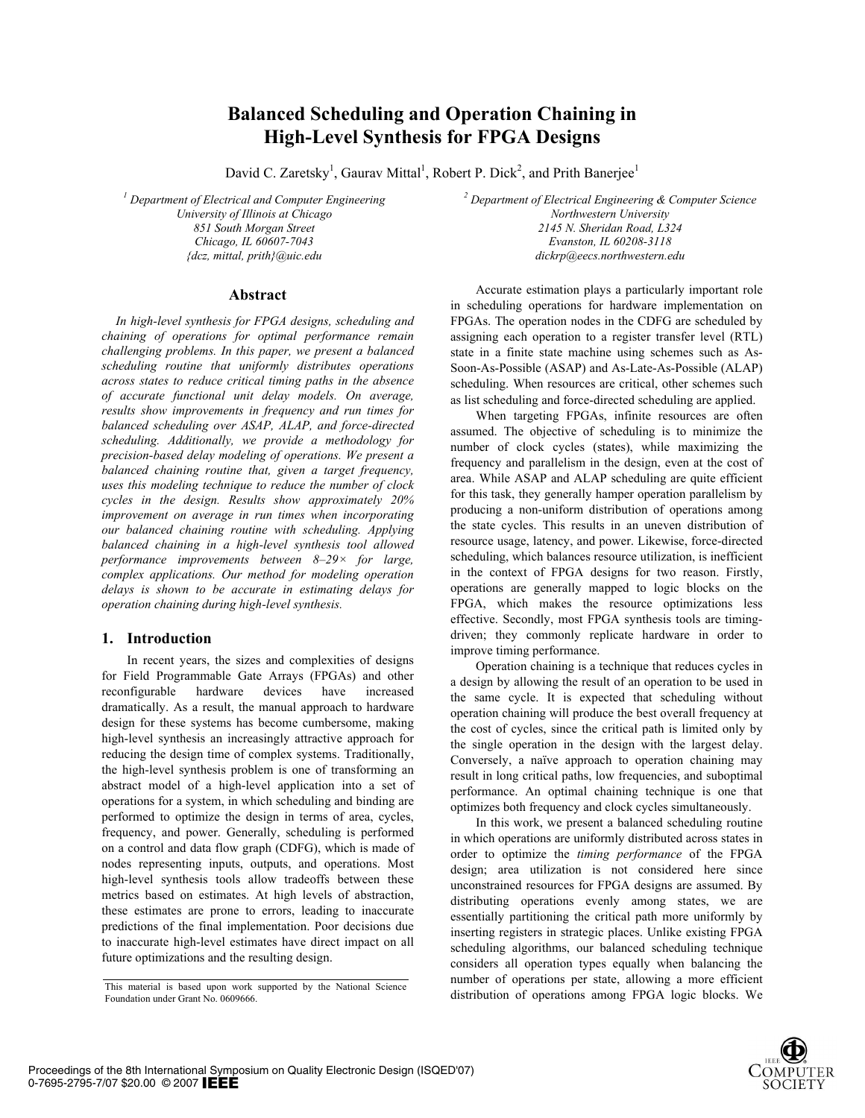# **Balanced Scheduling and Operation Chaining in High-Level Synthesis for FPGA Designs**

David C. Zaretsky<sup>1</sup>, Gaurav Mittal<sup>1</sup>, Robert P. Dick<sup>2</sup>, and Prith Banerjee<sup>1</sup>

*1 Department of Electrical and Computer Engineering University of Illinois at Chicago 851 South Morgan Street Chicago, IL 60607-7043 {dcz, mittal, prith}@uic.edu* 

**Abstract** 

*In high-level synthesis for FPGA designs, scheduling and chaining of operations for optimal performance remain challenging problems. In this paper, we present a balanced scheduling routine that uniformly distributes operations across states to reduce critical timing paths in the absence of accurate functional unit delay models. On average, results show improvements in frequency and run times for balanced scheduling over ASAP, ALAP, and force-directed scheduling. Additionally, we provide a methodology for precision-based delay modeling of operations. We present a balanced chaining routine that, given a target frequency, uses this modeling technique to reduce the number of clock cycles in the design. Results show approximately 20% improvement on average in run times when incorporating our balanced chaining routine with scheduling. Applying balanced chaining in a high-level synthesis tool allowed performance improvements between 8–29× for large, complex applications. Our method for modeling operation delays is shown to be accurate in estimating delays for operation chaining during high-level synthesis.* 

## **1. Introduction**

In recent years, the sizes and complexities of designs for Field Programmable Gate Arrays (FPGAs) and other reconfigurable hardware devices have increased dramatically. As a result, the manual approach to hardware design for these systems has become cumbersome, making high-level synthesis an increasingly attractive approach for reducing the design time of complex systems. Traditionally, the high-level synthesis problem is one of transforming an abstract model of a high-level application into a set of operations for a system, in which scheduling and binding are performed to optimize the design in terms of area, cycles, frequency, and power. Generally, scheduling is performed on a control and data flow graph (CDFG), which is made of nodes representing inputs, outputs, and operations. Most high-level synthesis tools allow tradeoffs between these metrics based on estimates. At high levels of abstraction, these estimates are prone to errors, leading to inaccurate predictions of the final implementation. Poor decisions due to inaccurate high-level estimates have direct impact on all future optimizations and the resulting design.

*2 Department of Electrical Engineering & Computer Science Northwestern University 2145 N. Sheridan Road, L324 Evanston, IL 60208-3118 dickrp@eecs.northwestern.edu* 

Accurate estimation plays a particularly important role in scheduling operations for hardware implementation on FPGAs. The operation nodes in the CDFG are scheduled by assigning each operation to a register transfer level (RTL) state in a finite state machine using schemes such as As-Soon-As-Possible (ASAP) and As-Late-As-Possible (ALAP) scheduling. When resources are critical, other schemes such as list scheduling and force-directed scheduling are applied.

When targeting FPGAs, infinite resources are often assumed. The objective of scheduling is to minimize the number of clock cycles (states), while maximizing the frequency and parallelism in the design, even at the cost of area. While ASAP and ALAP scheduling are quite efficient for this task, they generally hamper operation parallelism by producing a non-uniform distribution of operations among the state cycles. This results in an uneven distribution of resource usage, latency, and power. Likewise, force-directed scheduling, which balances resource utilization, is inefficient in the context of FPGA designs for two reason. Firstly, operations are generally mapped to logic blocks on the FPGA, which makes the resource optimizations less effective. Secondly, most FPGA synthesis tools are timingdriven; they commonly replicate hardware in order to improve timing performance.

Operation chaining is a technique that reduces cycles in a design by allowing the result of an operation to be used in the same cycle. It is expected that scheduling without operation chaining will produce the best overall frequency at the cost of cycles, since the critical path is limited only by the single operation in the design with the largest delay. Conversely, a naïve approach to operation chaining may result in long critical paths, low frequencies, and suboptimal performance. An optimal chaining technique is one that optimizes both frequency and clock cycles simultaneously.

In this work, we present a balanced scheduling routine in which operations are uniformly distributed across states in order to optimize the *timing performance* of the FPGA design; area utilization is not considered here since unconstrained resources for FPGA designs are assumed. By distributing operations evenly among states, we are essentially partitioning the critical path more uniformly by inserting registers in strategic places. Unlike existing FPGA scheduling algorithms, our balanced scheduling technique considers all operation types equally when balancing the number of operations per state, allowing a more efficient This material is based upon work supported by the National Science<br>
Foundation under Grant No. 0609666

Foundation under Grant No. 0609666.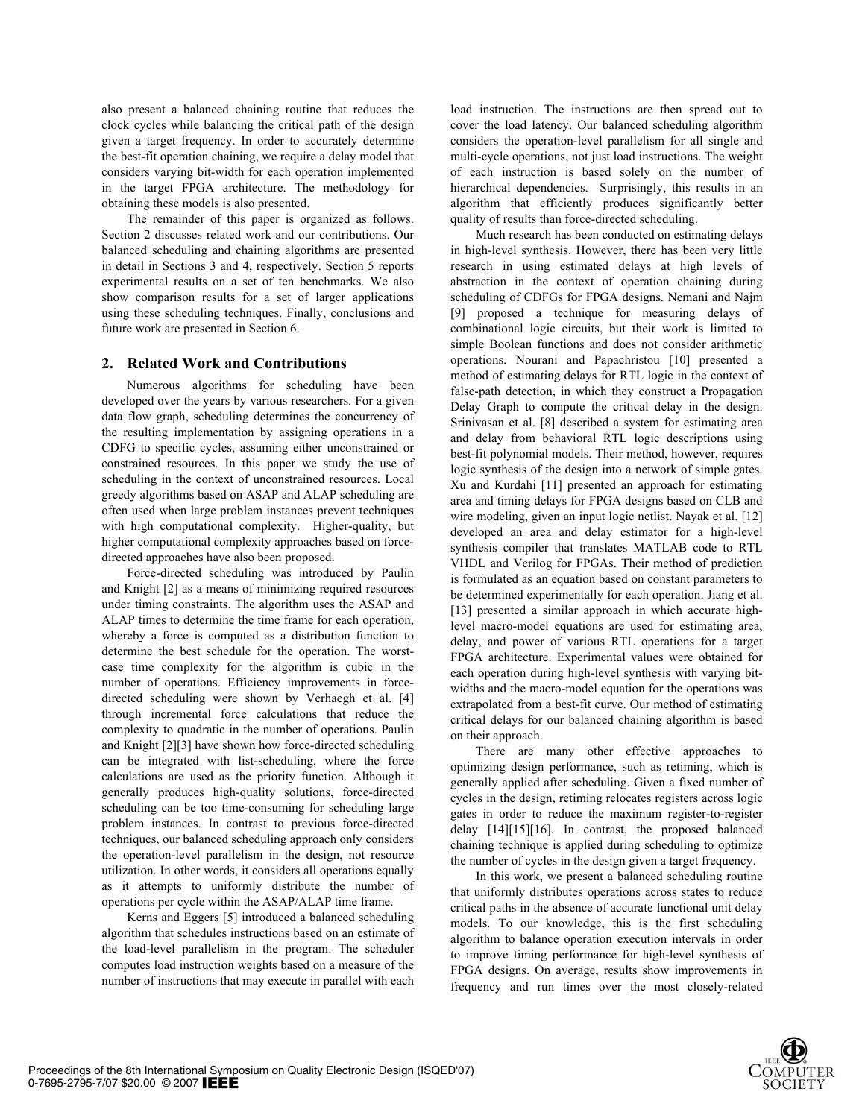also present a balanced chaining routine that reduces the clock cycles while balancing the critical path of the design given a target frequency. In order to accurately determine the best-fit operation chaining, we require a delay model that considers varying bit-width for each operation implemented in the target FPGA architecture. The methodology for obtaining these models is also presented.

The remainder of this paper is organized as follows. Section 2 discusses related work and our contributions. Our balanced scheduling and chaining algorithms are presented in detail in Sections 3 and 4, respectively. Section 5 reports experimental results on a set of ten benchmarks. We also show comparison results for a set of larger applications using these scheduling techniques. Finally, conclusions and future work are presented in Section 6.

# **2. Related Work and Contributions**

Numerous algorithms for scheduling have been developed over the years by various researchers. For a given data flow graph, scheduling determines the concurrency of the resulting implementation by assigning operations in a CDFG to specific cycles, assuming either unconstrained or constrained resources. In this paper we study the use of scheduling in the context of unconstrained resources. Local greedy algorithms based on ASAP and ALAP scheduling are often used when large problem instances prevent techniques with high computational complexity. Higher-quality, but higher computational complexity approaches based on forcedirected approaches have also been proposed.

Force-directed scheduling was introduced by Paulin and Knight [2] as a means of minimizing required resources under timing constraints. The algorithm uses the ASAP and ALAP times to determine the time frame for each operation, whereby a force is computed as a distribution function to determine the best schedule for the operation. The worstcase time complexity for the algorithm is cubic in the number of operations. Efficiency improvements in forcedirected scheduling were shown by Verhaegh et al. [4] through incremental force calculations that reduce the complexity to quadratic in the number of operations. Paulin and Knight [2][3] have shown how force-directed scheduling can be integrated with list-scheduling, where the force calculations are used as the priority function. Although it generally produces high-quality solutions, force-directed scheduling can be too time-consuming for scheduling large problem instances. In contrast to previous force-directed techniques, our balanced scheduling approach only considers the operation-level parallelism in the design, not resource utilization. In other words, it considers all operations equally as it attempts to uniformly distribute the number of operations per cycle within the ASAP/ALAP time frame.

Kerns and Eggers [5] introduced a balanced scheduling algorithm that schedules instructions based on an estimate of the load-level parallelism in the program. The scheduler computes load instruction weights based on a measure of the number of instructions that may execute in parallel with each load instruction. The instructions are then spread out to cover the load latency. Our balanced scheduling algorithm considers the operation-level parallelism for all single and multi-cycle operations, not just load instructions. The weight of each instruction is based solely on the number of hierarchical dependencies. Surprisingly, this results in an algorithm that efficiently produces significantly better quality of results than force-directed scheduling.

Much research has been conducted on estimating delays in high-level synthesis. However, there has been very little research in using estimated delays at high levels of abstraction in the context of operation chaining during scheduling of CDFGs for FPGA designs. Nemani and Najm [9] proposed a technique for measuring delays of combinational logic circuits, but their work is limited to simple Boolean functions and does not consider arithmetic operations. Nourani and Papachristou [10] presented a method of estimating delays for RTL logic in the context of false-path detection, in which they construct a Propagation Delay Graph to compute the critical delay in the design. Srinivasan et al. [8] described a system for estimating area and delay from behavioral RTL logic descriptions using best-fit polynomial models. Their method, however, requires logic synthesis of the design into a network of simple gates. Xu and Kurdahi [11] presented an approach for estimating area and timing delays for FPGA designs based on CLB and wire modeling, given an input logic netlist. Nayak et al. [12] developed an area and delay estimator for a high-level synthesis compiler that translates MATLAB code to RTL VHDL and Verilog for FPGAs. Their method of prediction is formulated as an equation based on constant parameters to be determined experimentally for each operation. Jiang et al. [13] presented a similar approach in which accurate highlevel macro-model equations are used for estimating area, delay, and power of various RTL operations for a target FPGA architecture. Experimental values were obtained for each operation during high-level synthesis with varying bitwidths and the macro-model equation for the operations was extrapolated from a best-fit curve. Our method of estimating critical delays for our balanced chaining algorithm is based on their approach.

There are many other effective approaches to optimizing design performance, such as retiming, which is generally applied after scheduling. Given a fixed number of cycles in the design, retiming relocates registers across logic gates in order to reduce the maximum register-to-register delay [14][15][16]. In contrast, the proposed balanced chaining technique is applied during scheduling to optimize the number of cycles in the design given a target frequency.

In this work, we present a balanced scheduling routine that uniformly distributes operations across states to reduce critical paths in the absence of accurate functional unit delay models. To our knowledge, this is the first scheduling algorithm to balance operation execution intervals in order to improve timing performance for high-level synthesis of FPGA designs. On average, results show improvements in frequency and run times over the most closely-related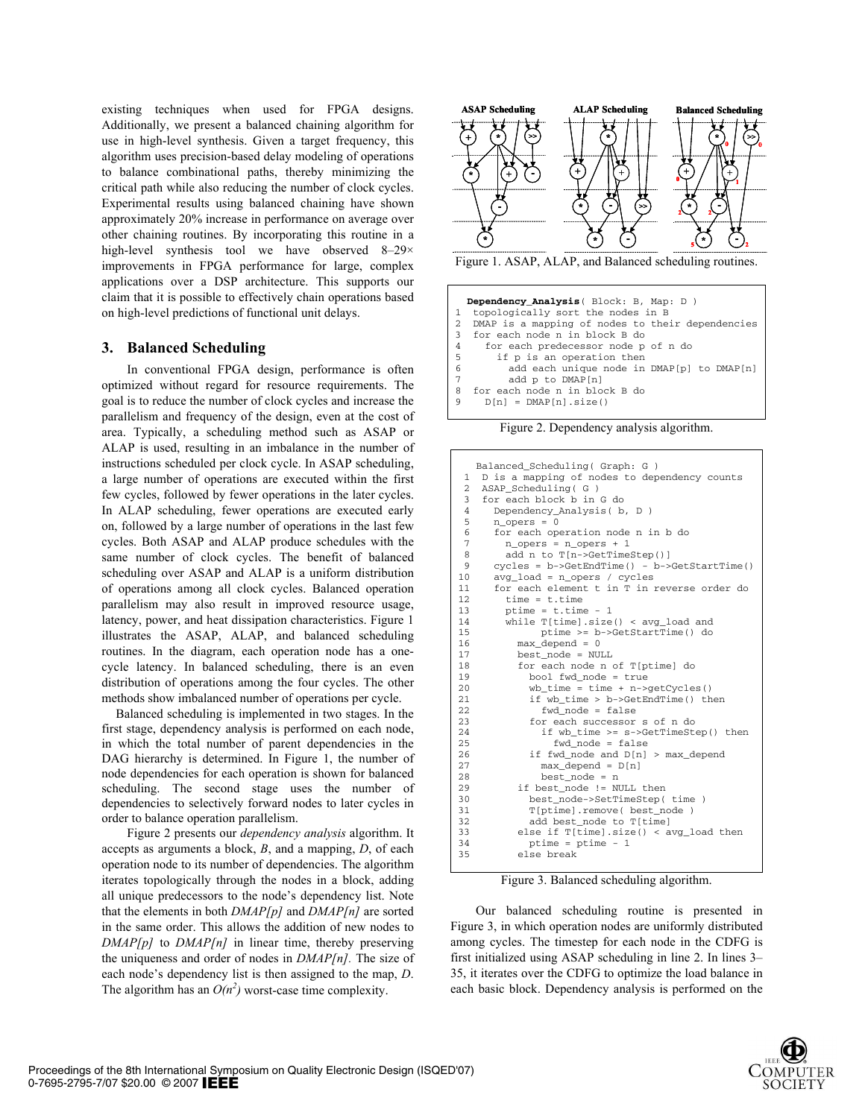existing techniques when used for FPGA designs. Additionally, we present a balanced chaining algorithm for use in high-level synthesis. Given a target frequency, this algorithm uses precision-based delay modeling of operations to balance combinational paths, thereby minimizing the critical path while also reducing the number of clock cycles. Experimental results using balanced chaining have shown approximately 20% increase in performance on average over other chaining routines. By incorporating this routine in a high-level synthesis tool we have observed 8–29× improvements in FPGA performance for large, complex applications over a DSP architecture. This supports our claim that it is possible to effectively chain operations based on high-level predictions of functional unit delays.

## **3. Balanced Scheduling**

In conventional FPGA design, performance is often optimized without regard for resource requirements. The goal is to reduce the number of clock cycles and increase the parallelism and frequency of the design, even at the cost of area. Typically, a scheduling method such as ASAP or ALAP is used, resulting in an imbalance in the number of instructions scheduled per clock cycle. In ASAP scheduling, a large number of operations are executed within the first few cycles, followed by fewer operations in the later cycles. In ALAP scheduling, fewer operations are executed early on, followed by a large number of operations in the last few cycles. Both ASAP and ALAP produce schedules with the same number of clock cycles. The benefit of balanced scheduling over ASAP and ALAP is a uniform distribution of operations among all clock cycles. Balanced operation parallelism may also result in improved resource usage, latency, power, and heat dissipation characteristics. Figure 1 illustrates the ASAP, ALAP, and balanced scheduling routines. In the diagram, each operation node has a onecycle latency. In balanced scheduling, there is an even distribution of operations among the four cycles. The other methods show imbalanced number of operations per cycle.

Balanced scheduling is implemented in two stages. In the first stage, dependency analysis is performed on each node, in which the total number of parent dependencies in the DAG hierarchy is determined. In Figure 1, the number of node dependencies for each operation is shown for balanced scheduling. The second stage uses the number of dependencies to selectively forward nodes to later cycles in order to balance operation parallelism.

Figure 2 presents our *dependency analysis* algorithm. It accepts as arguments a block, *B*, and a mapping, *D*, of each operation node to its number of dependencies. The algorithm iterates topologically through the nodes in a block, adding all unique predecessors to the node's dependency list. Note that the elements in both *DMAP[p]* and *DMAP[n]* are sorted in the same order. This allows the addition of new nodes to *DMAP[p]* to *DMAP[n]* in linear time, thereby preserving the uniqueness and order of nodes in *DMAP[n].* The size of each node's dependency list is then assigned to the map, *D*. The algorithm has an  $O(n^2)$  worst-case time complexity.



Figure 1. ASAP, ALAP, and Balanced scheduling routines.

|              | Dependency Analysis (Block: B, Map: D)           |
|--------------|--------------------------------------------------|
| $\mathbf{1}$ | topologically sort the nodes in B                |
| 2.           | DMAP is a mapping of nodes to their dependencies |
| 3            | for each node n in block B do                    |
| 4            | for each predecessor node p of n do              |
| 5            | if p is an operation then                        |
| 6            | add each unique node in DMAP[p] to DMAP[n]       |
|              | add p to DMAP[n]                                 |
| 8            | for each node n in block B do                    |
| 9            | $D[n] = DMAP[n].size()$                          |
|              |                                                  |

Figure 2. Dependency analysis algorithm.

|                | Balanced Scheduling( Graph: G )                      |
|----------------|------------------------------------------------------|
| $\mathbf{1}$   | D is a mapping of nodes to dependency counts         |
| $\overline{2}$ | ASAP Scheduling(G)                                   |
| 3              | for each block b in G do                             |
| 4              | Dependency Analysis (b, D)                           |
| 5              | $n$ opers = $0$                                      |
| 6              | for each operation node n in b do                    |
| 7              | $n_{po} = n_{ope} + 1$                               |
| 8              | add n to T[n->GetTimeStep()]                         |
| 9              | cycles = b->GetEndTime() - b->GetStartTime()         |
| 10             | avq $load = n$ opers / cycles                        |
| 11             | for each element t in T in reverse order do          |
| 12             | $time = t.time$                                      |
| 13             | ptime = $t.time - 1$                                 |
| 14             | while $T[time].size() < avg$ load and                |
| 15             | ptime >= b->GetStartTime() do                        |
| 16             | $max$ depend = $0$                                   |
| 17             | best node = NULL                                     |
| 18             | for each node n of T[ptime] do                       |
| 19             | $bool$ fwd node = $true$                             |
| 20             | wb time = time + $n$ ->qetCycles()                   |
| 21             | if wb time > b->GetEndTime() then                    |
| 22             | $fwd node = false$                                   |
| 23             | for each successor s of n do                         |
| 24             | if wb_time >= s->GetTimeStep() then                  |
| 25             | fwd_node = false                                     |
| 26             | if fwd node and D[n] > max_depend                    |
| 27             | $max$ depend = $D[n]$                                |
| 28             | best $node = n$                                      |
| 29             | if best_node != NULL then                            |
| 30             | best_node->SetTimeStep(time)                         |
| 31             | T[ptime].remove( best_node )                         |
| 32             | add best_node to T[time]                             |
| 33             | else if $T[time] \text{.size}() \leq avg\_load$ then |
| 34             | $ptime = ptime - 1$                                  |
| 35             | else break                                           |
|                |                                                      |

Figure 3. Balanced scheduling algorithm.

Our balanced scheduling routine is presented in Figure 3, in which operation nodes are uniformly distributed among cycles. The timestep for each node in the CDFG is first initialized using ASAP scheduling in line 2. In lines 3– 35, it iterates over the CDFG to optimize the load balance in each basic block. Dependency analysis is performed on the

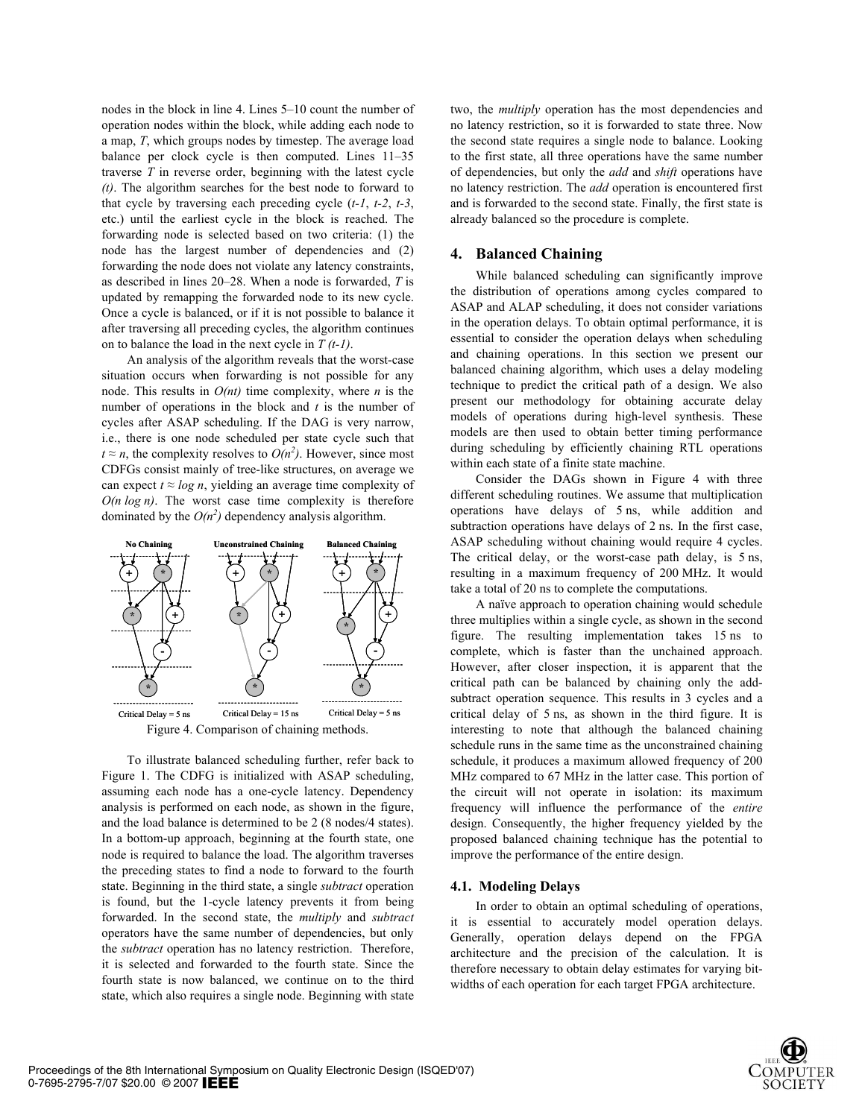nodes in the block in line 4. Lines 5–10 count the number of operation nodes within the block, while adding each node to a map, *T*, which groups nodes by timestep. The average load balance per clock cycle is then computed. Lines 11–35 traverse *T* in reverse order, beginning with the latest cycle *(t)*. The algorithm searches for the best node to forward to that cycle by traversing each preceding cycle (*t-1*, *t-2*, *t-3*, etc.) until the earliest cycle in the block is reached. The forwarding node is selected based on two criteria: (1) the node has the largest number of dependencies and (2) forwarding the node does not violate any latency constraints, as described in lines 20–28. When a node is forwarded, *T* is updated by remapping the forwarded node to its new cycle. Once a cycle is balanced, or if it is not possible to balance it after traversing all preceding cycles, the algorithm continues on to balance the load in the next cycle in *T (t-1)*.

An analysis of the algorithm reveals that the worst-case situation occurs when forwarding is not possible for any node. This results in *O(nt)* time complexity, where *n* is the number of operations in the block and *t* is the number of cycles after ASAP scheduling. If the DAG is very narrow, i.e., there is one node scheduled per state cycle such that *t* ≈ *n*, the complexity resolves to  $O(n^2)$ . However, since most CDFGs consist mainly of tree-like structures, on average we can expect  $t \approx log n$ , yielding an average time complexity of  $O(n \log n)$ . The worst case time complexity is therefore dominated by the  $O(n^2)$  dependency analysis algorithm.



To illustrate balanced scheduling further, refer back to Figure 1. The CDFG is initialized with ASAP scheduling, assuming each node has a one-cycle latency. Dependency analysis is performed on each node, as shown in the figure, and the load balance is determined to be 2 (8 nodes/4 states). In a bottom-up approach, beginning at the fourth state, one node is required to balance the load. The algorithm traverses the preceding states to find a node to forward to the fourth state. Beginning in the third state, a single *subtract* operation is found, but the 1-cycle latency prevents it from being forwarded. In the second state, the *multiply* and *subtract* operators have the same number of dependencies, but only the *subtract* operation has no latency restriction. Therefore, it is selected and forwarded to the fourth state. Since the fourth state is now balanced, we continue on to the third state, which also requires a single node. Beginning with state two, the *multiply* operation has the most dependencies and no latency restriction, so it is forwarded to state three. Now the second state requires a single node to balance. Looking to the first state, all three operations have the same number of dependencies, but only the *add* and *shift* operations have no latency restriction. The *add* operation is encountered first and is forwarded to the second state. Finally, the first state is already balanced so the procedure is complete.

# **4. Balanced Chaining**

While balanced scheduling can significantly improve the distribution of operations among cycles compared to ASAP and ALAP scheduling, it does not consider variations in the operation delays. To obtain optimal performance, it is essential to consider the operation delays when scheduling and chaining operations. In this section we present our balanced chaining algorithm, which uses a delay modeling technique to predict the critical path of a design. We also present our methodology for obtaining accurate delay models of operations during high-level synthesis. These models are then used to obtain better timing performance during scheduling by efficiently chaining RTL operations within each state of a finite state machine.

Consider the DAGs shown in Figure 4 with three different scheduling routines. We assume that multiplication operations have delays of 5 ns, while addition and subtraction operations have delays of 2 ns. In the first case, ASAP scheduling without chaining would require 4 cycles. The critical delay, or the worst-case path delay, is 5 ns, resulting in a maximum frequency of 200 MHz. It would take a total of 20 ns to complete the computations.

A naïve approach to operation chaining would schedule three multiplies within a single cycle, as shown in the second figure. The resulting implementation takes 15 ns to complete, which is faster than the unchained approach. However, after closer inspection, it is apparent that the critical path can be balanced by chaining only the addsubtract operation sequence. This results in 3 cycles and a critical delay of 5 ns, as shown in the third figure. It is interesting to note that although the balanced chaining schedule runs in the same time as the unconstrained chaining schedule, it produces a maximum allowed frequency of 200 MHz compared to 67 MHz in the latter case. This portion of the circuit will not operate in isolation: its maximum frequency will influence the performance of the *entire* design. Consequently, the higher frequency yielded by the proposed balanced chaining technique has the potential to improve the performance of the entire design.

#### **4.1. Modeling Delays**

In order to obtain an optimal scheduling of operations, it is essential to accurately model operation delays. Generally, operation delays depend on the FPGA architecture and the precision of the calculation. It is therefore necessary to obtain delay estimates for varying bitwidths of each operation for each target FPGA architecture.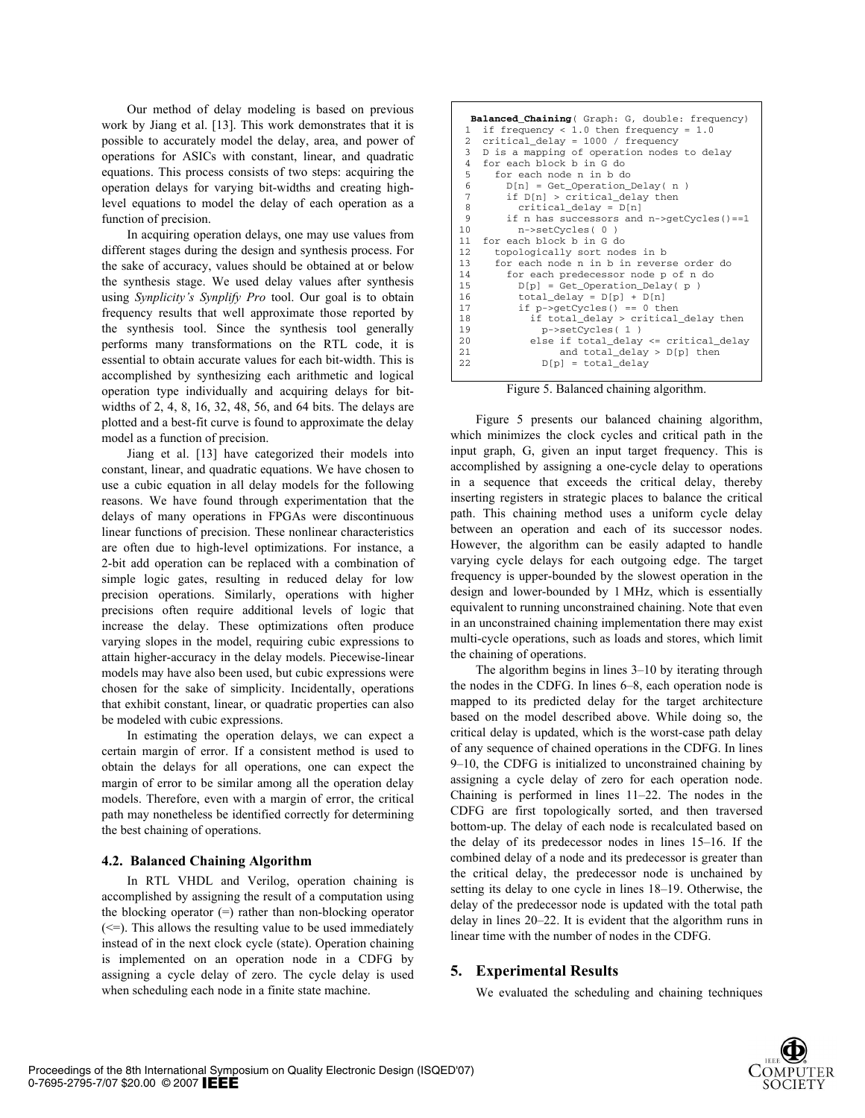Our method of delay modeling is based on previous work by Jiang et al. [13]. This work demonstrates that it is possible to accurately model the delay, area, and power of operations for ASICs with constant, linear, and quadratic equations. This process consists of two steps: acquiring the operation delays for varying bit-widths and creating highlevel equations to model the delay of each operation as a function of precision.

In acquiring operation delays, one may use values from different stages during the design and synthesis process. For the sake of accuracy, values should be obtained at or below the synthesis stage. We used delay values after synthesis using *Synplicity's Synplify Pro* tool. Our goal is to obtain frequency results that well approximate those reported by the synthesis tool. Since the synthesis tool generally performs many transformations on the RTL code, it is essential to obtain accurate values for each bit-width. This is accomplished by synthesizing each arithmetic and logical operation type individually and acquiring delays for bitwidths of 2, 4, 8, 16, 32, 48, 56, and 64 bits. The delays are plotted and a best-fit curve is found to approximate the delay model as a function of precision.

Jiang et al. [13] have categorized their models into constant, linear, and quadratic equations. We have chosen to use a cubic equation in all delay models for the following reasons. We have found through experimentation that the delays of many operations in FPGAs were discontinuous linear functions of precision. These nonlinear characteristics are often due to high-level optimizations. For instance, a 2-bit add operation can be replaced with a combination of simple logic gates, resulting in reduced delay for low precision operations. Similarly, operations with higher precisions often require additional levels of logic that increase the delay. These optimizations often produce varying slopes in the model, requiring cubic expressions to attain higher-accuracy in the delay models. Piecewise-linear models may have also been used, but cubic expressions were chosen for the sake of simplicity. Incidentally, operations that exhibit constant, linear, or quadratic properties can also be modeled with cubic expressions.

In estimating the operation delays, we can expect a certain margin of error. If a consistent method is used to obtain the delays for all operations, one can expect the margin of error to be similar among all the operation delay models. Therefore, even with a margin of error, the critical path may nonetheless be identified correctly for determining the best chaining of operations.

## **4.2. Balanced Chaining Algorithm**

In RTL VHDL and Verilog, operation chaining is accomplished by assigning the result of a computation using the blocking operator  $(=)$  rather than non-blocking operator  $(\leq)$ . This allows the resulting value to be used immediately instead of in the next clock cycle (state). Operation chaining is implemented on an operation node in a CDFG by assigning a cycle delay of zero. The cycle delay is used when scheduling each node in a finite state machine.

|                 | <b>Balanced_Chaining</b> (Graph: G, double: frequency) |
|-----------------|--------------------------------------------------------|
| $\mathbf{1}$    | if frequency $< 1.0$ then frequency = 1.0              |
| $\overline{2}$  | critical delay = 1000 / frequency                      |
| 3               | D is a mapping of operation nodes to delay             |
| 4               | for each block b in G do                               |
| 5               | for each node n in b do                                |
| 6               | $D[n] = Get Operation Delay(n)$                        |
| 7               | if $D[n] > critical$ delay then                        |
| 8               | $critical$ delay = $D[n]$                              |
| $\overline{9}$  | if n has successors and $n$ ->qetCycles() == 1         |
| 10 <sup>°</sup> | n->setCycles(0)                                        |
| 11              | for each block b in G do                               |
| 12 <sup>°</sup> | topologically sort nodes in b                          |
| 13              | for each node n in b in reverse order do               |
| 14              | for each predecessor node p of n do                    |
| 15              | $D[p] = Get Operation Delay(p)$                        |
| 16              | total delay = $D[p] + D[n]$                            |
| 17              | if $p$ ->qetCycles() == 0 then                         |
| 18              | if total delay > critical delay then                   |
| 19              | p->setCycles(1)                                        |
| 20              | else if total_delay <= critical_delay                  |
| 2.1             | and total delay $> D[p]$ then                          |
| 22.2            | $D[p] = total delay$                                   |

Figure 5. Balanced chaining algorithm.

Figure 5 presents our balanced chaining algorithm, which minimizes the clock cycles and critical path in the input graph, G, given an input target frequency. This is accomplished by assigning a one-cycle delay to operations in a sequence that exceeds the critical delay, thereby inserting registers in strategic places to balance the critical path. This chaining method uses a uniform cycle delay between an operation and each of its successor nodes. However, the algorithm can be easily adapted to handle varying cycle delays for each outgoing edge. The target frequency is upper-bounded by the slowest operation in the design and lower-bounded by 1 MHz, which is essentially equivalent to running unconstrained chaining. Note that even in an unconstrained chaining implementation there may exist multi-cycle operations, such as loads and stores, which limit the chaining of operations.

The algorithm begins in lines 3–10 by iterating through the nodes in the CDFG. In lines 6–8, each operation node is mapped to its predicted delay for the target architecture based on the model described above. While doing so, the critical delay is updated, which is the worst-case path delay of any sequence of chained operations in the CDFG. In lines 9–10, the CDFG is initialized to unconstrained chaining by assigning a cycle delay of zero for each operation node. Chaining is performed in lines 11–22. The nodes in the CDFG are first topologically sorted, and then traversed bottom-up. The delay of each node is recalculated based on the delay of its predecessor nodes in lines 15–16. If the combined delay of a node and its predecessor is greater than the critical delay, the predecessor node is unchained by setting its delay to one cycle in lines 18–19. Otherwise, the delay of the predecessor node is updated with the total path delay in lines 20–22. It is evident that the algorithm runs in linear time with the number of nodes in the CDFG.

# **5. Experimental Results**

We evaluated the scheduling and chaining techniques

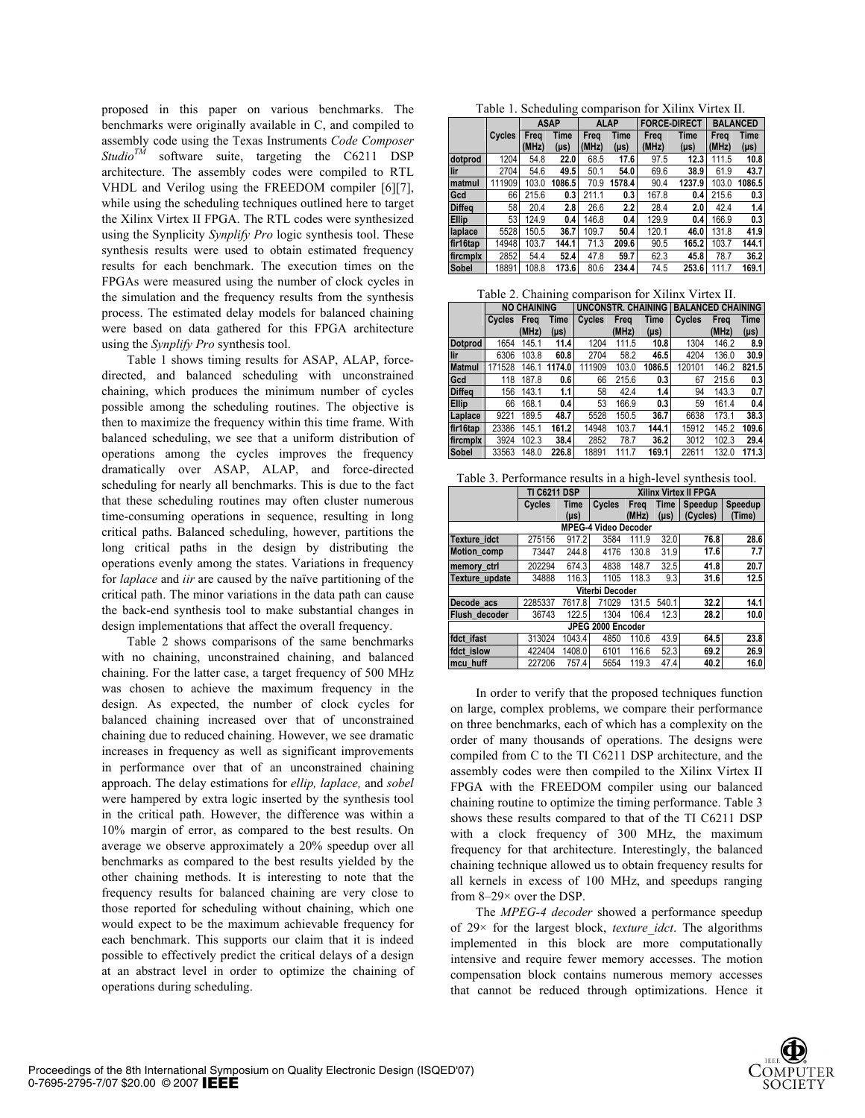proposed in this paper on various benchmarks. The benchmarks were originally available in C, and compiled to assembly code using the Texas Instruments *Code Composer StudioTM* software suite, targeting the C6211 DSP architecture. The assembly codes were compiled to RTL VHDL and Verilog using the FREEDOM compiler [6][7], while using the scheduling techniques outlined here to target the Xilinx Virtex II FPGA. The RTL codes were synthesized using the Synplicity *Synplify Pro* logic synthesis tool. These synthesis results were used to obtain estimated frequency results for each benchmark. The execution times on the FPGAs were measured using the number of clock cycles in the simulation and the frequency results from the synthesis process. The estimated delay models for balanced chaining were based on data gathered for this FPGA architecture using the *Synplify Pro* synthesis tool.

Table 1 shows timing results for ASAP, ALAP, forcedirected, and balanced scheduling with unconstrained chaining, which produces the minimum number of cycles possible among the scheduling routines. The objective is then to maximize the frequency within this time frame. With balanced scheduling, we see that a uniform distribution of operations among the cycles improves the frequency dramatically over ASAP, ALAP, and force-directed scheduling for nearly all benchmarks. This is due to the fact that these scheduling routines may often cluster numerous time-consuming operations in sequence, resulting in long critical paths. Balanced scheduling, however, partitions the long critical paths in the design by distributing the operations evenly among the states. Variations in frequency for *laplace* and *iir* are caused by the naïve partitioning of the critical path. The minor variations in the data path can cause the back-end synthesis tool to make substantial changes in design implementations that affect the overall frequency.

Table 2 shows comparisons of the same benchmarks with no chaining, unconstrained chaining, and balanced chaining. For the latter case, a target frequency of 500 MHz was chosen to achieve the maximum frequency in the design. As expected, the number of clock cycles for balanced chaining increased over that of unconstrained chaining due to reduced chaining. However, we see dramatic increases in frequency as well as significant improvements in performance over that of an unconstrained chaining approach. The delay estimations for *ellip, laplace,* and *sobel* were hampered by extra logic inserted by the synthesis tool in the critical path. However, the difference was within a 10% margin of error, as compared to the best results. On average we observe approximately a 20% speedup over all benchmarks as compared to the best results yielded by the other chaining methods. It is interesting to note that the frequency results for balanced chaining are very close to those reported for scheduling without chaining, which one would expect to be the maximum achievable frequency for each benchmark. This supports our claim that it is indeed possible to effectively predict the critical delays of a design at an abstract level in order to optimize the chaining of operations during scheduling.

Table 1. Scheduling comparison for Xilinx Virtex II.

|               |        |               | $\tilde{\phantom{a}}$<br><b>ASAP</b> |               | <b>ALAP</b>              | <b>FORCE-DIRECT</b> |                   |               | <b>BALANCED</b>   |  |
|---------------|--------|---------------|--------------------------------------|---------------|--------------------------|---------------------|-------------------|---------------|-------------------|--|
|               | Cycles | Frea<br>(MHz) | Time<br>(µs)                         | Freq<br>(MHz) | <b>Time</b><br>$(\mu s)$ | Frea<br>(MHz)       | Time<br>$(\mu s)$ | Frea<br>(MHz) | Time<br>$(\mu s)$ |  |
| dotprod       | 1204   | 54.8          | 22.0                                 | 68.5          | 17.6                     | 97.5                | 12.3              | 111.5         | 10.8              |  |
| lir           | 2704   | 54.6          | 49.5                                 | 50.1          | 54.0                     | 69.6                | 38.9              | 61.9          | 43.7              |  |
| matmul        | 111909 | 103.0         | 1086.5                               | 70.9          | 1578.4                   | 90.4                | 1237.9            | 103.0         | 1086.5            |  |
| Gcd           | 66     | 215.6         | 0.3                                  | 211.1         | 0.3                      | 167.8               | 0.4               | 215.6         | 0.3               |  |
| <b>Diffea</b> | 58     | 20.4          | 2.8                                  | 26.6          | 2.2                      | 28.4                | 2.0               | 42.4          | 1.4               |  |
| <b>Ellip</b>  | 53     | 124.9         | 0.4                                  | 146.8         | 0.4                      | 129.9               | 0.4               | 166.9         | 0.3               |  |
| laplace       | 5528   | 150.5         | 36.7                                 | 109.7         | 50.4                     | 120.1               | 46.0              | 131.8         | 41.9              |  |
| fir16tap      | 14948  | 103.7         | 144.1                                | 71.3          | 209.6                    | 90.5                | 165.2             | 103.7         | 144.1             |  |
| fircmplx      | 2852   | 54.4          | 52.4                                 | 47.8          | 59.7                     | 62.3                | 45.8              | 78.7          | 36.2              |  |
| <b>Sobel</b>  | 18891  | 108.8         | 173.6                                | 80.6          | 234.4                    | 74.5                | 253.6             | 111.7         | 169.1             |  |

| Table 2. Chaining comparison for Xilinx Virtex II. |  |  |
|----------------------------------------------------|--|--|
|                                                    |  |  |

|                        |        | <b>NO CHAINING</b> | ------ | <b>UNCONSTR. CHAINING</b> |        |           | <b>BALANCED CHAINING</b> |       |           |
|------------------------|--------|--------------------|--------|---------------------------|--------|-----------|--------------------------|-------|-----------|
| Cycles<br>Frea<br>Time |        | Cycles             | Frea   | Time                      | Cycles | Frea      | <b>Time</b>              |       |           |
|                        |        | (MHz)              | (µs)   |                           | (MHz)  | $(\mu s)$ |                          | (MHz) | $(\mu s)$ |
| <b>Dotprod</b>         | 1654   | 145.1              | 11.4   | 1204                      | 111.5  | 10.8      | 1304                     | 146.2 | 8.9       |
| lir                    | 6306   | 103.8              | 60.8   | 2704                      | 58.2   | 46.5      | 4204                     | 136.0 | 30.9      |
| <b>Matmul</b>          | 171528 | 146.1              | 1174.0 | 111909                    | 103.0  | 1086.5    | 120101                   | 146.2 | 821.5     |
| Gcd                    | 118    | 187.8              | 0.6    | 66                        | 215.6  | 0.3       | 67                       | 215.6 | 0.3       |
| <b>Diffeq</b>          | 156    | 143.1              | 1.1    | 58                        | 42.4   | 1.4       | 94                       | 143.3 | 0.7       |
| <b>Ellip</b>           | 66     | 168.1              | 0.4    | 53                        | 166.9  | 0.3       | 59                       | 161.4 | 0.4       |
| Laplace                | 9221   | 189.5              | 48.7   | 5528                      | 150.5  | 36.7      | 6638                     | 173.1 | 38.3      |
| fir16tap               | 23386  | 145.1              | 161.2  | 14948                     | 103.7  | 144.1     | 15912                    | 145.2 | 109.6     |
| fircmplx               | 3924   | 102.3              | 38.4   | 2852                      | 78.7   | 36.2      | 3012                     | 102.3 | 29.4      |
| <b>Sobel</b>           | 33563  | 148.0              | 226.8  | 18891                     | 111.7  | 169.1     | 22611                    | 132.0 | 171.3     |

Table 3. Performance results in a high-level synthesis tool.

|                                                          | <b>TI C6211 DSP</b> |           |                 | <b>Xilinx Virtex II FPGA</b> |             |          |         |  |  |
|----------------------------------------------------------|---------------------|-----------|-----------------|------------------------------|-------------|----------|---------|--|--|
|                                                          | Cycles              | Time      | Cycles          | Frea                         | <b>Time</b> | Speedup  | Speedup |  |  |
|                                                          |                     | $(\mu s)$ |                 | (MHz)                        | $(\mu s)$   | (Cycles) | (Time)  |  |  |
| <b>MPEG-4 Video Decoder</b>                              |                     |           |                 |                              |             |          |         |  |  |
| 917.2<br>32.0<br>Texture idct<br>275156<br>111.9<br>3584 |                     |           |                 |                              | 76.8        | 28.6     |         |  |  |
| Motion_comp                                              | 73447               | 244.8     | 4176            | 130.8                        | 31.9        | 17.6     | 7.7     |  |  |
| memory ctrl                                              | 202294              | 674.3     | 4838            | 148.7                        | 32.5        | 41.8     | 20.7    |  |  |
| Texture update                                           | 34888               | 116.3     | 1105            | 118.3                        | 9.3         | 31.6     | 12.5    |  |  |
|                                                          |                     |           | Viterbi Decoder |                              |             |          |         |  |  |
| Decode_acs                                               | 2285337             | 7617.8    | 71029           | 131.5                        | 540.1       | 32.2     | 14.1    |  |  |
| Flush decoder                                            | 36743               | 122.5     | 1304            | 106.4                        | 12.3        | 28.2     | 10.0    |  |  |
|                                                          | JPEG 2000 Encoder   |           |                 |                              |             |          |         |  |  |
| fdct ifast                                               | 313024              | 1043.4    | 4850            | 110.6                        | 43.9        | 64.5     | 23.8    |  |  |
| fdct islow                                               | 422404              | 1408.0    | 6101            | 116.6                        | 52.3        | 69.2     | 26.9    |  |  |
| mcu huff                                                 | 227206              | 757.4     | 5654            | 119.3                        | 47.4        | 40.2     | 16.0    |  |  |

In order to verify that the proposed techniques function on large, complex problems, we compare their performance on three benchmarks, each of which has a complexity on the order of many thousands of operations. The designs were compiled from C to the TI C6211 DSP architecture, and the assembly codes were then compiled to the Xilinx Virtex II FPGA with the FREEDOM compiler using our balanced chaining routine to optimize the timing performance. Table 3 shows these results compared to that of the TI C6211 DSP with a clock frequency of 300 MHz, the maximum frequency for that architecture. Interestingly, the balanced chaining technique allowed us to obtain frequency results for all kernels in excess of 100 MHz, and speedups ranging from 8–29× over the DSP.

The *MPEG-4 decoder* showed a performance speedup of 29× for the largest block, *texture\_idct*. The algorithms implemented in this block are more computationally intensive and require fewer memory accesses. The motion compensation block contains numerous memory accesses that cannot be reduced through optimizations. Hence it